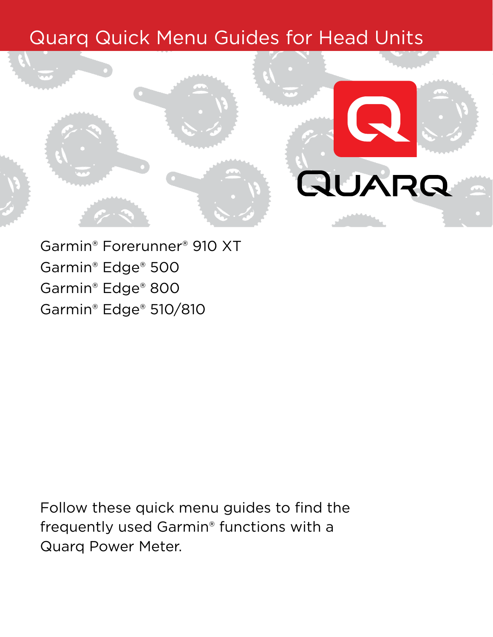# Quarq Quick Menu Guides for Head Units



Garmin® Forerunner® 910 XT Garmin® Edge® 500 Garmin® Edge® 800 Garmin® Edge® 510/810

Follow these quick menu guides to find the frequently used Garmin® functions with a Quarq Power Meter.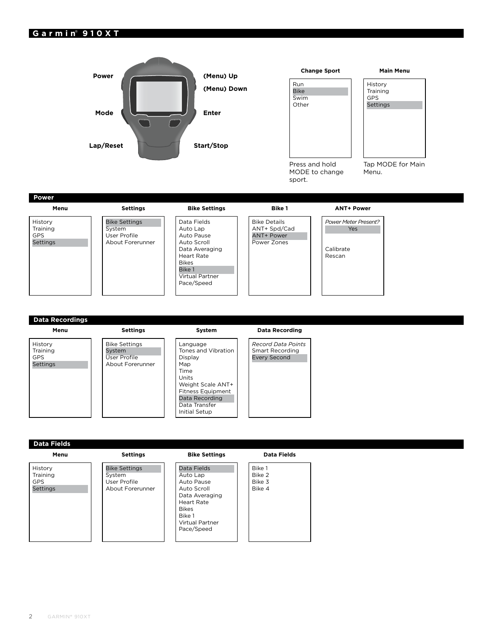# **Garmin**® **910XT**



**Menu**

History Training GPS Settings

Bike Settings System User Profile About Forerunner **System**

Language Tones and Vibration Display Map Time Units Weight Scale ANT+ Fitness Equipment Data Recording Data Transfer Initial Setup

## **Data Recording**

*Record Data Points* Smart Recording Every Second

**Data Fields**

#### **Menu**

History **Training** GPS Settings

Bike Settings System User Profile About Forerunner

**Settings**

#### **Bike Settings**

Data Fields Auto Lap Auto Pause Auto Scroll Data Averaging Heart Rate Bikes Bike 1 Virtual Partner Pace/Speed

#### **Data Fields**

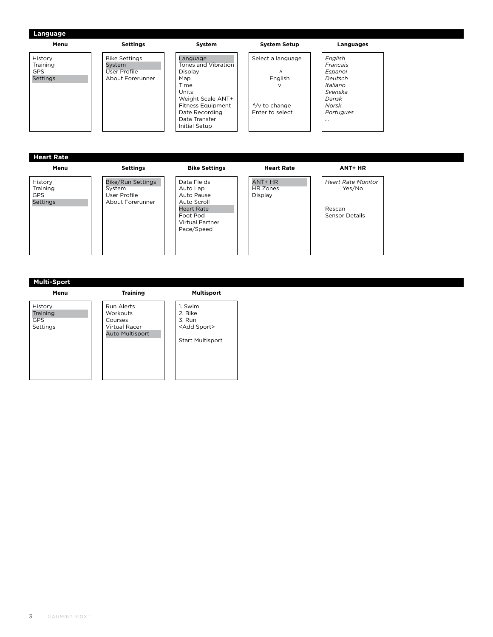| Menu              | <b>Settings</b>          | System                           | <b>System Setup</b>     | Languages                 |
|-------------------|--------------------------|----------------------------------|-------------------------|---------------------------|
| History           | <b>Bike Settings</b>     | Language                         | Select a language       | English                   |
| Training          | System                   | Tones and Vibration              |                         | Francais                  |
| <b>GPS</b>        | <b>User Profile</b>      | Display                          | Λ                       | Espanol                   |
| Settings          | About Forerunner         | Map                              | English                 | Deutsch                   |
|                   |                          | Time                             | $\vee$                  | Italiano                  |
|                   |                          | Units                            |                         | Svenska                   |
|                   |                          | Weight Scale ANT+                |                         | Dansk                     |
|                   |                          | <b>Fitness Equipment</b>         | $\frac{N}{v}$ to change | Norsk                     |
|                   |                          | Date Recording                   | Enter to select         | Portugues                 |
|                   |                          | Data Transfer                    |                         |                           |
|                   |                          |                                  |                         |                           |
|                   |                          | Initial Setup                    |                         |                           |
| <b>Heart Rate</b> |                          |                                  |                         |                           |
| Menu              | <b>Settings</b>          | <b>Bike Settings</b>             | <b>Heart Rate</b>       | <b>ANT+ HR</b>            |
| History           | <b>Bike/Run Settings</b> | Data Fields                      | ANT+ HR                 | <b>Heart Rate Monitor</b> |
| Training          | System                   | Auto Lap                         | <b>HR Zones</b>         | Yes/No                    |
| <b>GPS</b>        | User Profile             | Auto Pause                       | <b>Display</b>          |                           |
| <b>Settings</b>   | About Forerunner         | Auto Scroll<br><b>Heart Rate</b> |                         | Rescan                    |

Sensor Details

# **Multi-Sport**

**Menu** History Training GPS Settings 1. Swim 2. Bike 3. Run **Training** Run Alerts Workouts Courses Virtual Racer Auto Multisport

# **Multisport**

Foot Pod Virtual Partner Pace/Speed

<Add Sport> Start Multisport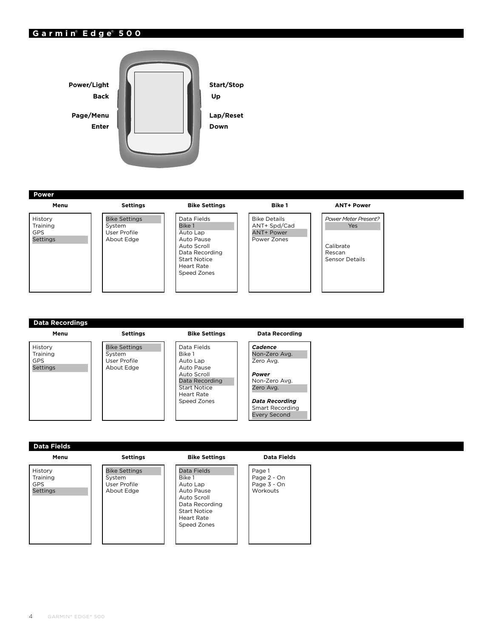# **Garmin**® **Edge**® **500**



**Power**

**Menu** History Training

**Settings** Bike Settings System User Profile About Edge

| <b>Bike Settings</b>                                                                                 |
|------------------------------------------------------------------------------------------------------|
| Data Fields<br><b>Bike 1</b>                                                                         |
| Auto Lap<br>Auto Pause<br>Auto Scroll<br>Data Recording<br>Start Notice<br>Heart Rate<br>Speed Zones |
|                                                                                                      |

**Bike 1** Bike Details ANT+ Spd/Cad ANT+ Power Power Zones

#### **ANT+ Power**

*Power Meter Present?* Yes Calibrate Rescan Sensor Details

# **Data Recordings**

System

# **Menu** History Training GPS Settings

**Settings** Bike Settings User Profile About Edge

#### **Bike Settings**

Data Fields Bike 1 Auto Lap Auto Pause Auto Scroll Data Recording Start Notice Heart Rate Speed Zones

#### **Data Recording**

*Cadence* Non-Zero Avg. Zero Avg. *Power* Non-Zero Avg. Zero Avg.

*Data Recording* Smart Recording Every Second

### **Data Fields**

**Menu**

History Training GPS **Settings**  **Settings**

Bike Settings System User Profile About Edge

#### **Bike Settings**

| Data Fields         |
|---------------------|
| Rike 1              |
| Auto Lap            |
| Auto Pause          |
| Auto Scroll         |
| Data Recording      |
| <b>Start Notice</b> |
| Heart Rate          |
| Speed Zones         |
|                     |

#### **Data Fields**

Page 1 Page 2 - On Page 3 - On **Workouts** 

GPS Settings

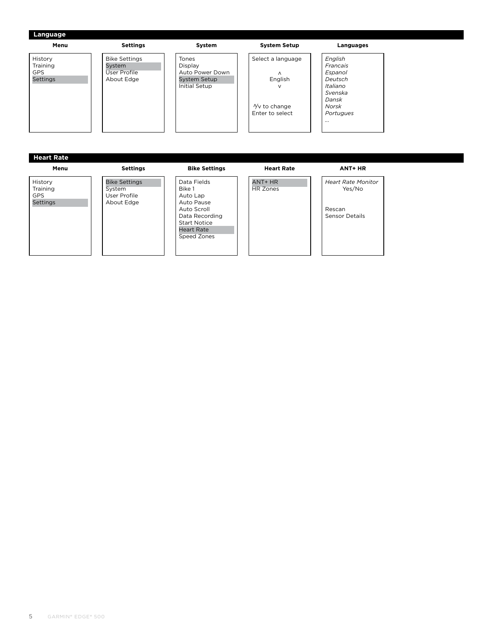| Menu                                                 | <b>Settings</b>                                                     | System                                                                                    | <b>System Setup</b>                                                                           | Languages                                                                                                         |
|------------------------------------------------------|---------------------------------------------------------------------|-------------------------------------------------------------------------------------------|-----------------------------------------------------------------------------------------------|-------------------------------------------------------------------------------------------------------------------|
| History<br>Training<br><b>GPS</b><br><b>Settings</b> | <b>Bike Settings</b><br>System<br><b>User Profile</b><br>About Edge | Tones<br><b>Display</b><br>Auto Power Down<br><b>System Setup</b><br><b>Initial Setup</b> | Select a language<br>$\wedge$<br>English<br>$\vee$<br>$\sqrt{v}$ to change<br>Enter to select | English<br>Francais<br><b>Espanol</b><br>Deutsch<br><b>Italiano</b><br>Svenska<br>Dansk<br>Norsk<br>Portugues<br> |
| <b>Heart Rate</b>                                    |                                                                     |                                                                                           |                                                                                               |                                                                                                                   |
| Menu                                                 | <b>Settings</b>                                                     | <b>Bike Settings</b>                                                                      | <b>Heart Rate</b>                                                                             | ANT+ HR                                                                                                           |
| History<br>Training<br><b>GPS</b><br><b>Settings</b> | <b>Bike Settings</b><br>System<br>User Profile                      | Data Fields<br>Bike 1<br>Auto Lap                                                         | ANT+ HR<br><b>HR Zones</b>                                                                    | <b>Heart Rate Monitor</b><br>Yes/No                                                                               |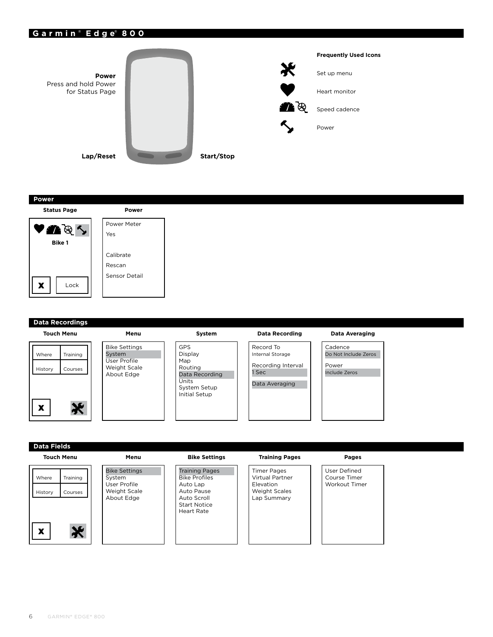# **Garmin** ® **Edge**® **800**



## **Power**



| Power         |
|---------------|
| Power Meter   |
| Yes           |
|               |
| Calibrate     |
| Rescan        |
| Sensor Detail |
|               |
|               |

# **Data Recordings Touch Menu**



| Menu                                              |  |
|---------------------------------------------------|--|
| Bike Settings<br>System                           |  |
| User Profile<br><b>Weight Scale</b><br>About Edge |  |
|                                                   |  |

| GPS                 |
|---------------------|
| Display             |
| Map                 |
| Routing             |
| Data Recording      |
| Units               |
| <b>System Setup</b> |
| Initial Setup       |
|                     |

**System**

### **Data Recording**

# Record To Internal Storage Recording Interval 1 Sec Data Averaging

#### **Data Averaging**

Cadence Do Not Include Zeros Power Include Zeros

# **Data Fields**

#### **Touch Menu**





**Menu**

#### **Bike Settings**

Training Pages Bike Profiles Auto Lap Auto Pause Auto Scroll Start Notice Heart Rate

#### **Training Pages**

Timer Pages Virtual Partner Elevation Weight Scales Lap Summary

# **Pages**

User Defined Course Timer Workout Timer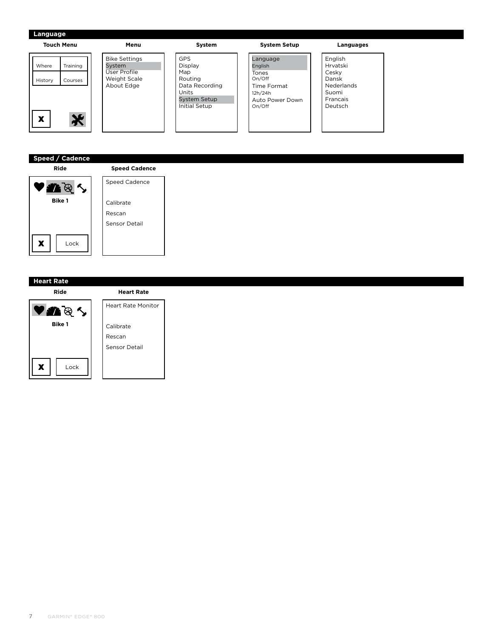#### **Touch Menu Menu System System Setup Languages** GPS Bike Settings Language English Where Training System Display English Hrvatski User Profile Map **Tones** Cesky Weight Scale Routing On/Off Dansk History Courses Data Recording Nederlands Time Format About Edge Units 12h/24h Suomi Auto Power Down Francais System Setup On/Off Deutsch Initial Setup ☀ x

# **Speed / Cadence**



| <b>Speed Cadence</b> |
|----------------------|
| Speed Cadence        |
|                      |
|                      |
| Calibrate            |
| Rescan               |
| Sensor Detail        |
|                      |
|                      |

# **Heart Rate**

**Ride**



# **Heart Rate** Heart Rate Monitor Calibrate Rescan Sensor Detail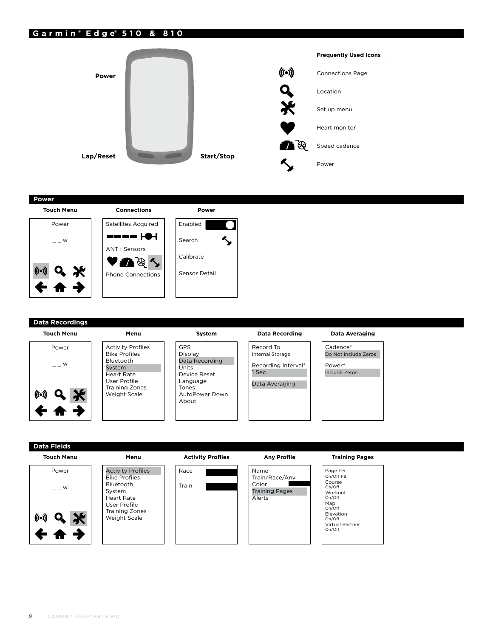# **Garmin** ® **Edge**® **510 & 810**



## **Power**



# **Data Recordings**

#### **Touch Menu**

|        | Power |  |
|--------|-------|--|
|        | W     |  |
| (((•)) |       |  |
|        | Q     |  |
|        |       |  |

#### Activity Profiles Bike Profiles Bluetooth System Heart Rate User Profile Training Zones Weight Scale

**Menu** Activity Profiles Bike Profiles Bluetooth System Heart Rate User Profile Training Zones Weight Scale

**Menu**

| GPS<br>Display |
|----------------|
| Data Recording |
| Units          |
| Device Reset   |
| Language       |
| Tones          |
| AutoPower Down |
| About          |

**System**

#### **Data Recording**

# Record To Internal Storage Recording Interval\* 1 Sec Data Averaging

#### **Data Averaging**

Cadence\* Do Not Include Zeros Power\* Include Zeros

#### **Touch Menu**



# **Activity Profiles**



#### **Any Profile**

# Name Train/Race/Any Color Training Pages Alerts

#### **Training Pages**

Page 1-5 On/Off 1-8 Course On/Off Workout On/Off Map On/Off Elevation On/Off Virtual Partner On/Off

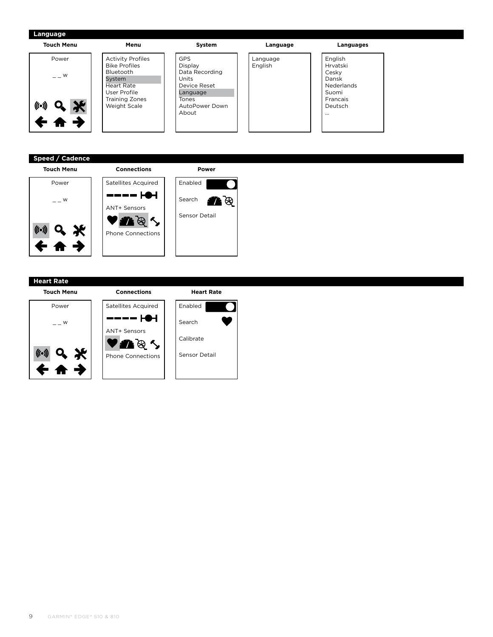| <b>Touch Menu</b>          | Menu                                             | System                  | Language            | Languages           |
|----------------------------|--------------------------------------------------|-------------------------|---------------------|---------------------|
| Power                      | <b>Activity Profiles</b><br><b>Bike Profiles</b> | <b>GPS</b><br>Display   | Language<br>English | English<br>Hrvatski |
| $  \mathsf{W}$             | Bluetooth<br>System                              | Data Recording<br>Units |                     | Cesky<br>Dansk      |
|                            | <b>Heart Rate</b>                                | Device Reset            |                     | Nederlands          |
|                            | User Profile<br><b>Training Zones</b>            | Language<br>Tones       |                     | Suomi<br>Francais   |
| <b>AL</b><br>$((\bullet))$ | Weight Scale                                     | AutoPower Down<br>About |                     | Deutsch             |
|                            |                                                  |                         |                     | $\cdots$            |
|                            |                                                  |                         |                     |                     |

# **Speed / Cadence**

#### **Touch Menu**







**Heart Rate**